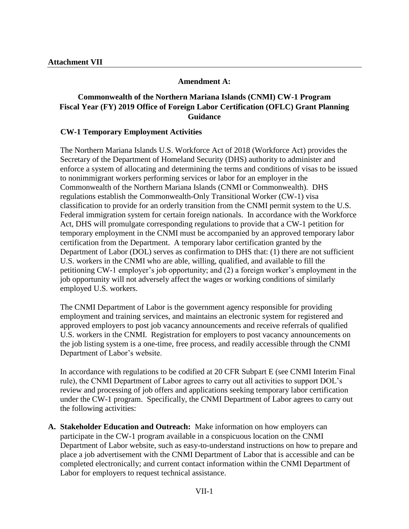### **Amendment A:**

## **Commonwealth of the Northern Mariana Islands (CNMI) CW-1 Program Fiscal Year (FY) 2019 Office of Foreign Labor Certification (OFLC) Grant Planning Guidance**

#### **CW-1 Temporary Employment Activities**

The Northern Mariana Islands U.S. Workforce Act of 2018 (Workforce Act) provides the Secretary of the Department of Homeland Security (DHS) authority to administer and enforce a system of allocating and determining the terms and conditions of visas to be issued to nonimmigrant workers performing services or labor for an employer in the Commonwealth of the Northern Mariana Islands (CNMI or Commonwealth). DHS regulations establish the Commonwealth-Only Transitional Worker (CW-1) visa classification to provide for an orderly transition from the CNMI permit system to the U.S. Federal immigration system for certain foreign nationals. In accordance with the Workforce Act, DHS will promulgate corresponding regulations to provide that a CW-1 petition for temporary employment in the CNMI must be accompanied by an approved temporary labor certification from the Department. A temporary labor certification granted by the Department of Labor (DOL) serves as confirmation to DHS that: (1) there are not sufficient U.S. workers in the CNMI who are able, willing, qualified, and available to fill the petitioning CW-1 employer's job opportunity; and (2) a foreign worker's employment in the job opportunity will not adversely affect the wages or working conditions of similarly employed U.S. workers.

The CNMI Department of Labor is the government agency responsible for providing employment and training services, and maintains an electronic system for registered and approved employers to post job vacancy announcements and receive referrals of qualified U.S. workers in the CNMI. Registration for employers to post vacancy announcements on the job listing system is a one-time, free process, and readily accessible through the CNMI Department of Labor's website.

In accordance with regulations to be codified at 20 CFR Subpart E (see CNMI Interim Final rule), the CNMI Department of Labor agrees to carry out all activities to support DOL's review and processing of job offers and applications seeking temporary labor certification under the CW-1 program. Specifically, the CNMI Department of Labor agrees to carry out the following activities:

**A. Stakeholder Education and Outreach:** Make information on how employers can participate in the CW-1 program available in a conspicuous location on the CNMI Department of Labor website, such as easy-to-understand instructions on how to prepare and place a job advertisement with the CNMI Department of Labor that is accessible and can be completed electronically; and current contact information within the CNMI Department of Labor for employers to request technical assistance.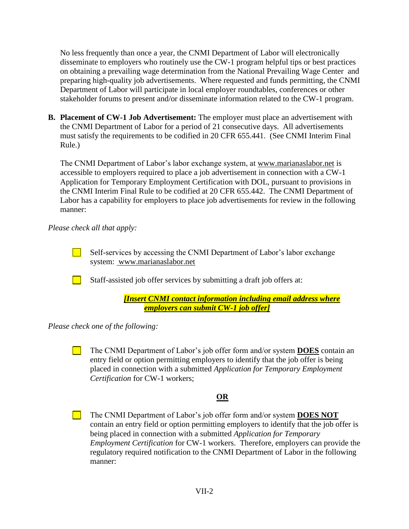No less frequently than once a year, the CNMI Department of Labor will electronically disseminate to employers who routinely use the CW-1 program helpful tips or best practices on obtaining a prevailing wage determination from the National Prevailing Wage Center and preparing high-quality job advertisements. Where requested and funds permitting, the CNMI Department of Labor will participate in local employer roundtables, conferences or other stakeholder forums to present and/or disseminate information related to the CW-1 program.

**B. Placement of CW-1 Job Advertisement:** The employer must place an advertisement with the CNMI Department of Labor for a period of 21 consecutive days. All advertisements must satisfy the requirements to be codified in 20 CFR 655.441. (See CNMI Interim Final Rule.)

The CNMI Department of Labor's labor exchange system, at www.marianaslabor.net is accessible to employers required to place a job advertisement in connection with a CW-1 Application for Temporary Employment Certification with DOL, pursuant to provisions in the CNMI Interim Final Rule to be codified at 20 CFR 655.442. The CNMI Department of Labor has a capability for employers to place job advertisements for review in the following manner:

*Please check all that apply:*

Self-services by accessing the CNMI Department of Labor's labor exchange system: www.marianaslabor.net

Staff-assisted job offer services by submitting a draft job offers at:

> *[Insert CNMI contact information including email address where employers can submit CW-1 job offer]*

*Please check one of the following:*

 $\Box$ The CNMI Department of Labor's job offer form and/or system **DOES** contain an entry field or option permitting employers to identify that the job offer is being placed in connection with a submitted *Application for Temporary Employment Certification* for CW-1 workers;

# **OR**

The CNMI Department of Labor's job offer form and/or system **DOES NOT** contain an entry field or option permitting employers to identify that the job offer is being placed in connection with a submitted *Application for Temporary Employment Certification* for CW-1 workers. Therefore, employers can provide the regulatory required notification to the CNMI Department of Labor in the following manner: